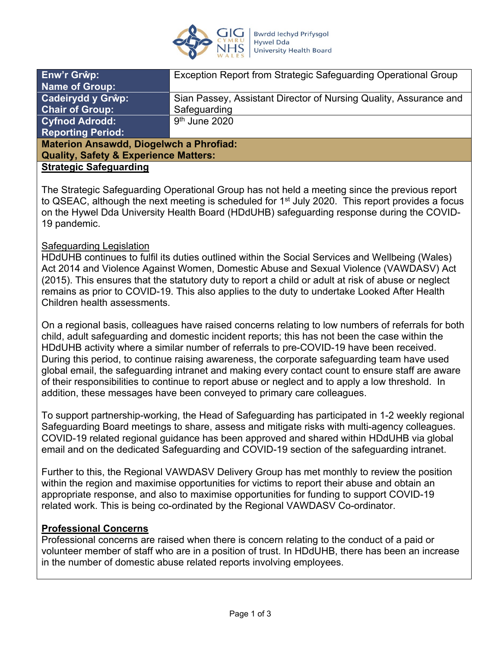

| Enw'r Grŵp:                                      | Exception Report from Strategic Safeguarding Operational Group    |
|--------------------------------------------------|-------------------------------------------------------------------|
| <b>Name of Group:</b>                            |                                                                   |
| <b>Cadeirydd y Grŵp:</b>                         | Sian Passey, Assistant Director of Nursing Quality, Assurance and |
| <b>Chair of Group:</b>                           | Safeguarding                                                      |
| <b>Cyfnod Adrodd:</b>                            | $9th$ June 2020                                                   |
| <b>Reporting Period:</b>                         |                                                                   |
| <b>Materion Ansawdd, Diogelwch a Phrofiad:</b>   |                                                                   |
| <b>Quality, Safety &amp; Experience Matters:</b> |                                                                   |
| <b>Strategic Safeguarding</b>                    |                                                                   |

The Strategic Safeguarding Operational Group has not held a meeting since the previous report to QSEAC, although the next meeting is scheduled for 1<sup>st</sup> July 2020. This report provides a focus on the Hywel Dda University Health Board (HDdUHB) safeguarding response during the COVID-19 pandemic.

#### Safeguarding Legislation

HDdUHB continues to fulfil its duties outlined within the Social Services and Wellbeing (Wales) Act 2014 and Violence Against Women, Domestic Abuse and Sexual Violence (VAWDASV) Act (2015). This ensures that the statutory duty to report a child or adult at risk of abuse or neglect remains as prior to COVID-19. This also applies to the duty to undertake Looked After Health Children health assessments.

On a regional basis, colleagues have raised concerns relating to low numbers of referrals for both child, adult safeguarding and domestic incident reports; this has not been the case within the HDdUHB activity where a similar number of referrals to pre-COVID-19 have been received. During this period, to continue raising awareness, the corporate safeguarding team have used global email, the safeguarding intranet and making every contact count to ensure staff are aware of their responsibilities to continue to report abuse or neglect and to apply a low threshold. In addition, these messages have been conveyed to primary care colleagues.

To support partnership-working, the Head of Safeguarding has participated in 1-2 weekly regional Safeguarding Board meetings to share, assess and mitigate risks with multi-agency colleagues. COVID-19 related regional guidance has been approved and shared within HDdUHB via global email and on the dedicated Safeguarding and COVID-19 section of the safeguarding intranet.

Further to this, the Regional VAWDASV Delivery Group has met monthly to review the position within the region and maximise opportunities for victims to report their abuse and obtain an appropriate response, and also to maximise opportunities for funding to support COVID-19 related work. This is being co-ordinated by the Regional VAWDASV Co-ordinator.

#### **Professional Concerns**

Professional concerns are raised when there is concern relating to the conduct of a paid or volunteer member of staff who are in a position of trust. In HDdUHB, there has been an increase in the number of domestic abuse related reports involving employees.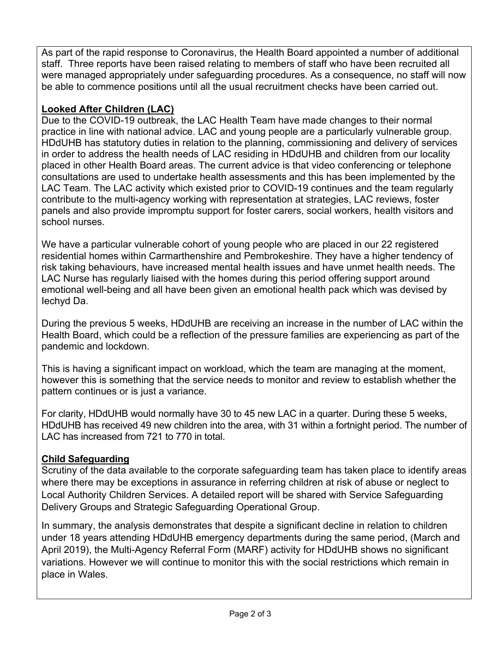As part of the rapid response to Coronavirus, the Health Board appointed a number of additional staff. Three reports have been raised relating to members of staff who have been recruited all were managed appropriately under safeguarding procedures. As a consequence, no staff will now be able to commence positions until all the usual recruitment checks have been carried out.

## **Looked After Children (LAC)**

Due to the COVID-19 outbreak, the LAC Health Team have made changes to their normal practice in line with national advice. LAC and young people are a particularly vulnerable group. HDdUHB has statutory duties in relation to the planning, commissioning and delivery of services in order to address the health needs of LAC residing in HDdUHB and children from our locality placed in other Health Board areas. The current advice is that video conferencing or telephone consultations are used to undertake health assessments and this has been implemented by the LAC Team. The LAC activity which existed prior to COVID-19 continues and the team regularly contribute to the multi-agency working with representation at strategies, LAC reviews, foster panels and also provide impromptu support for foster carers, social workers, health visitors and school nurses.

We have a particular vulnerable cohort of young people who are placed in our 22 registered residential homes within Carmarthenshire and Pembrokeshire. They have a higher tendency of risk taking behaviours, have increased mental health issues and have unmet health needs. The LAC Nurse has regularly liaised with the homes during this period offering support around emotional well-being and all have been given an emotional health pack which was devised by Iechyd Da.

During the previous 5 weeks, HDdUHB are receiving an increase in the number of LAC within the Health Board, which could be a reflection of the pressure families are experiencing as part of the pandemic and lockdown.

This is having a significant impact on workload, which the team are managing at the moment, however this is something that the service needs to monitor and review to establish whether the pattern continues or is just a variance.

For clarity, HDdUHB would normally have 30 to 45 new LAC in a quarter. During these 5 weeks, HDdUHB has received 49 new children into the area, with 31 within a fortnight period. The number of LAC has increased from 721 to 770 in total.

## **Child Safeguarding**

Scrutiny of the data available to the corporate safeguarding team has taken place to identify areas where there may be exceptions in assurance in referring children at risk of abuse or neglect to Local Authority Children Services. A detailed report will be shared with Service Safeguarding Delivery Groups and Strategic Safeguarding Operational Group.

In summary, the analysis demonstrates that despite a significant decline in relation to children under 18 years attending HDdUHB emergency departments during the same period, (March and April 2019), the Multi-Agency Referral Form (MARF) activity for HDdUHB shows no significant variations. However we will continue to monitor this with the social restrictions which remain in place in Wales.